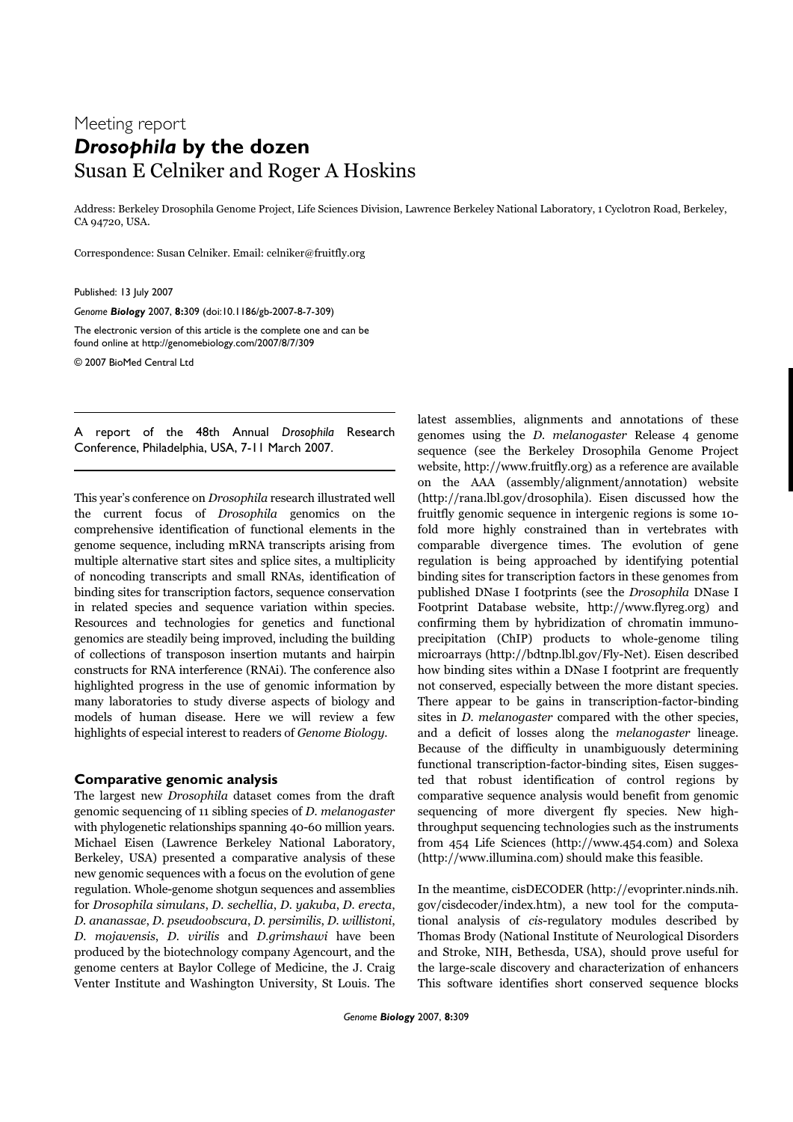# Meeting report *Drosophila* **by the dozen** Susan E Celniker and Roger A Hoskins

Address: Berkeley Drosophila Genome Project, Life Sciences Division, Lawrence Berkeley National Laboratory, 1 Cyclotron Road, Berkeley, CA 94720, USA.

Correspondence: Susan Celniker. Email: celniker@fruitfly.org

Published: 13 July 2007

*Genome Biology* 2007, **8:**309 (doi:10.1186/gb-2007-8-7-309)

The electronic version of this article is the complete one and can be found online at http://genomebiology.com/2007/8/7/309

© 2007 BioMed Central Ltd

A report of the 48th Annual *Drosophila* Research Conference, Philadelphia, USA, 7-11 March 2007.

This year's conference on Drosophila research illustrated well the current focus of Drosophila genomics on the comprehensive identification of functional elements in the genome sequence, including mRNA transcripts arising from multiple alternative start sites and splice sites, a multiplicity of noncoding transcripts and small RNAs, identification of binding sites for transcription factors, sequence conservation in related species and sequence variation within species. Resources and technologies for genetics and functional genomics are steadily being improved, including the building of collections of transposon insertion mutants and hairpin constructs for RNA interference (RNAi). The conference also highlighted progress in the use of genomic information by many laboratories to study diverse aspects of biology and models of human disease. Here we will review a few highlights of especial interest to readers of Genome Biology.

## **Comparative genomic analysis**

The largest new Drosophila dataset comes from the draft genomic sequencing of 11 sibling species of D. melanogaster with phylogenetic relationships spanning 40-60 million years. Michael Eisen (Lawrence Berkeley National Laboratory, Berkeley, USA) presented a comparative analysis of these new genomic sequences with a focus on the evolution of gene regulation. Whole-genome shotgun sequences and assemblies for Drosophila simulans, D. sechellia, D. yakuba, D. erecta, D. ananassae, D. pseudoobscura, D. persimilis, D. willistoni, D. mojavensis, D. virilis and D.grimshawi have been produced by the biotechnology company Agencourt, and the genome centers at Baylor College of Medicine, the J. Craig Venter Institute and Washington University, St Louis. The latest assemblies, alignments and annotations of these genomes using the D. melanogaster Release 4 genome sequence (see the Berkeley Drosophila Genome Project website, http://www.fruitfly.org) as a reference are available on the AAA (assembly/alignment/annotation) website (http://rana.lbl.gov/drosophila). Eisen discussed how the fruitfly genomic sequence in intergenic regions is some 10 fold more highly constrained than in vertebrates with comparable divergence times. The evolution of gene regulation is being approached by identifying potential binding sites for transcription factors in these genomes from published DNase I footprints (see the Drosophila DNase I Footprint Database website, http://www.flyreg.org) and confirming them by hybridization of chromatin immunoprecipitation (ChIP) products to whole-genome tiling microarrays (http://bdtnp.lbl.gov/Fly-Net). Eisen described how binding sites within a DNase I footprint are frequently not conserved, especially between the more distant species. There appear to be gains in transcription-factor-binding sites in *D. melanogaster* compared with the other species, and a deficit of losses along the melanogaster lineage. Because of the difficulty in unambiguously determining functional transcription-factor-binding sites, Eisen suggested that robust identification of control regions by comparative sequence analysis would benefit from genomic sequencing of more divergent fly species. New highthroughput sequencing technologies such as the instruments from 454 Life Sciences (http://www.454.com) and Solexa (http://www.illumina.com) should make this feasible.

In the meantime, cisDECODER (http://evoprinter.ninds.nih. gov/cisdecoder/index.htm), a new tool for the computational analysis of cis-regulatory modules described by Thomas Brody (National Institute of Neurological Disorders and Stroke, NIH, Bethesda, USA), should prove useful for the large-scale discovery and characterization of enhancers This software identifies short conserved sequence blocks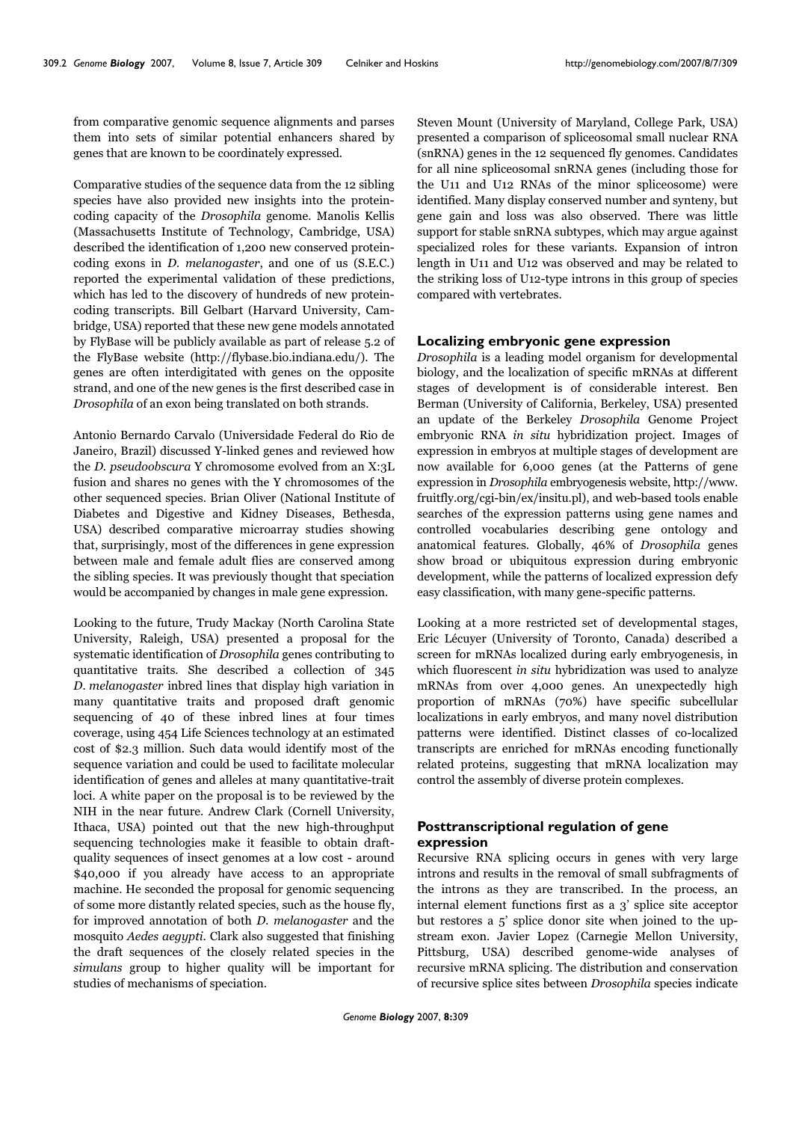from comparative genomic sequence alignments and parses them into sets of similar potential enhancers shared by genes that are known to be coordinately expressed.

Comparative studies of the sequence data from the 12 sibling species have also provided new insights into the proteincoding capacity of the Drosophila genome. Manolis Kellis (Massachusetts Institute of Technology, Cambridge, USA) described the identification of 1,200 new conserved proteincoding exons in D. melanogaster, and one of us (S.E.C.) reported the experimental validation of these predictions, which has led to the discovery of hundreds of new proteincoding transcripts. Bill Gelbart (Harvard University, Cambridge, USA) reported that these new gene models annotated by FlyBase will be publicly available as part of release 5.2 of the FlyBase website (http://flybase.bio.indiana.edu/). The genes are often interdigitated with genes on the opposite strand, and one of the new genes is the first described case in Drosophila of an exon being translated on both strands.

Antonio Bernardo Carvalo (Universidade Federal do Rio de Janeiro, Brazil) discussed Y-linked genes and reviewed how the D. pseudoobscura Y chromosome evolved from an X:3L fusion and shares no genes with the Y chromosomes of the other sequenced species. Brian Oliver (National Institute of Diabetes and Digestive and Kidney Diseases, Bethesda, USA) described comparative microarray studies showing that, surprisingly, most of the differences in gene expression between male and female adult flies are conserved among the sibling species. It was previously thought that speciation would be accompanied by changes in male gene expression.

Looking to the future, Trudy Mackay (North Carolina State University, Raleigh, USA) presented a proposal for the systematic identification of Drosophila genes contributing to quantitative traits. She described a collection of 345 D. melanogaster inbred lines that display high variation in many quantitative traits and proposed draft genomic sequencing of 40 of these inbred lines at four times coverage, using 454 Life Sciences technology at an estimated cost of \$2.3 million. Such data would identify most of the sequence variation and could be used to facilitate molecular identification of genes and alleles at many quantitative-trait loci. A white paper on the proposal is to be reviewed by the NIH in the near future. Andrew Clark (Cornell University, Ithaca, USA) pointed out that the new high-throughput sequencing technologies make it feasible to obtain draftquality sequences of insect genomes at a low cost - around \$40,000 if you already have access to an appropriate machine. He seconded the proposal for genomic sequencing of some more distantly related species, such as the house fly, for improved annotation of both D. melanogaster and the mosquito Aedes aegypti. Clark also suggested that finishing the draft sequences of the closely related species in the simulans group to higher quality will be important for studies of mechanisms of speciation.

Steven Mount (University of Maryland, College Park, USA) presented a comparison of spliceosomal small nuclear RNA (snRNA) genes in the 12 sequenced fly genomes. Candidates for all nine spliceosomal snRNA genes (including those for the U11 and U12 RNAs of the minor spliceosome) were identified. Many display conserved number and synteny, but gene gain and loss was also observed. There was little support for stable snRNA subtypes, which may argue against specialized roles for these variants. Expansion of intron length in U11 and U12 was observed and may be related to the striking loss of U12-type introns in this group of species compared with vertebrates.

# **Localizing embryonic gene expression**

Drosophila is a leading model organism for developmental biology, and the localization of specific mRNAs at different stages of development is of considerable interest. Ben Berman (University of California, Berkeley, USA) presented an update of the Berkeley Drosophila Genome Project embryonic RNA in situ hybridization project. Images of expression in embryos at multiple stages of development are now available for 6,000 genes (at the Patterns of gene expression in Drosophila embryogenesis website, http://www. fruitfly.org/cgi-bin/ex/insitu.pl), and web-based tools enable searches of the expression patterns using gene names and controlled vocabularies describing gene ontology and anatomical features. Globally, 46% of Drosophila genes show broad or ubiquitous expression during embryonic development, while the patterns of localized expression defy easy classification, with many gene-specific patterns.

Looking at a more restricted set of developmental stages, Eric Lécuyer (University of Toronto, Canada) described a screen for mRNAs localized during early embryogenesis, in which fluorescent in situ hybridization was used to analyze mRNAs from over 4,000 genes. An unexpectedly high proportion of mRNAs (70%) have specific subcellular localizations in early embryos, and many novel distribution patterns were identified. Distinct classes of co-localized transcripts are enriched for mRNAs encoding functionally related proteins, suggesting that mRNA localization may control the assembly of diverse protein complexes.

# **Posttranscriptional regulation of gene expression**

Recursive RNA splicing occurs in genes with very large introns and results in the removal of small subfragments of the introns as they are transcribed. In the process, an internal element functions first as a 3' splice site acceptor but restores a 5' splice donor site when joined to the upstream exon. Javier Lopez (Carnegie Mellon University, Pittsburg, USA) described genome-wide analyses of recursive mRNA splicing. The distribution and conservation of recursive splice sites between Drosophila species indicate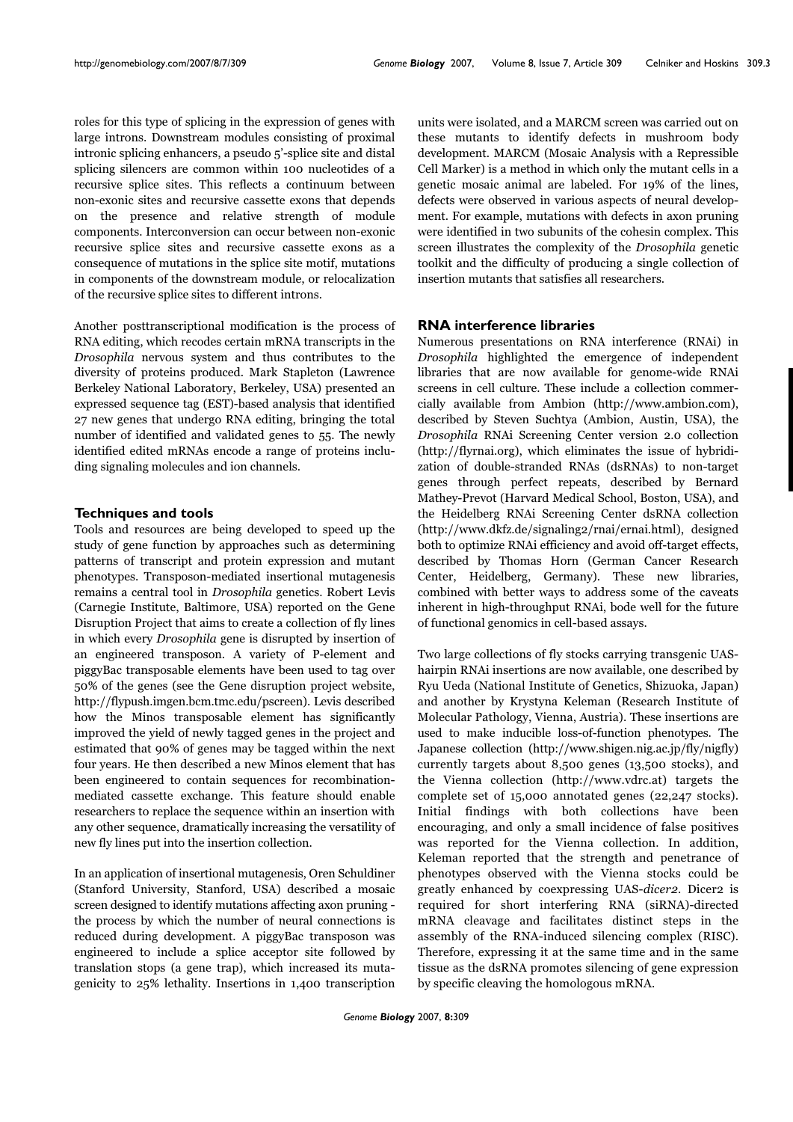roles for this type of splicing in the expression of genes with large introns. Downstream modules consisting of proximal intronic splicing enhancers, a pseudo 5'-splice site and distal splicing silencers are common within 100 nucleotides of a recursive splice sites. This reflects a continuum between non-exonic sites and recursive cassette exons that depends on the presence and relative strength of module components. Interconversion can occur between non-exonic recursive splice sites and recursive cassette exons as a consequence of mutations in the splice site motif, mutations in components of the downstream module, or relocalization of the recursive splice sites to different introns.

Another posttranscriptional modification is the process of RNA editing, which recodes certain mRNA transcripts in the Drosophila nervous system and thus contributes to the diversity of proteins produced. Mark Stapleton (Lawrence Berkeley National Laboratory, Berkeley, USA) presented an expressed sequence tag (EST)-based analysis that identified 27 new genes that undergo RNA editing, bringing the total number of identified and validated genes to 55. The newly identified edited mRNAs encode a range of proteins including signaling molecules and ion channels.

### **Techniques and tools**

Tools and resources are being developed to speed up the study of gene function by approaches such as determining patterns of transcript and protein expression and mutant phenotypes. Transposon-mediated insertional mutagenesis remains a central tool in Drosophila genetics. Robert Levis (Carnegie Institute, Baltimore, USA) reported on the Gene Disruption Project that aims to create a collection of fly lines in which every Drosophila gene is disrupted by insertion of an engineered transposon. A variety of P-element and piggyBac transposable elements have been used to tag over 50% of the genes (see the Gene disruption project website, http://flypush.imgen.bcm.tmc.edu/pscreen). Levis described how the Minos transposable element has significantly improved the yield of newly tagged genes in the project and estimated that 90% of genes may be tagged within the next four years. He then described a new Minos element that has been engineered to contain sequences for recombinationmediated cassette exchange. This feature should enable researchers to replace the sequence within an insertion with any other sequence, dramatically increasing the versatility of new fly lines put into the insertion collection.

In an application of insertional mutagenesis, Oren Schuldiner (Stanford University, Stanford, USA) described a mosaic screen designed to identify mutations affecting axon pruning the process by which the number of neural connections is reduced during development. A piggyBac transposon was engineered to include a splice acceptor site followed by translation stops (a gene trap), which increased its mutagenicity to 25% lethality. Insertions in 1,400 transcription units were isolated, and a MARCM screen was carried out on these mutants to identify defects in mushroom body development. MARCM (Mosaic Analysis with a Repressible Cell Marker) is a method in which only the mutant cells in a genetic mosaic animal are labeled. For 19% of the lines, defects were observed in various aspects of neural development. For example, mutations with defects in axon pruning were identified in two subunits of the cohesin complex. This screen illustrates the complexity of the Drosophila genetic toolkit and the difficulty of producing a single collection of insertion mutants that satisfies all researchers.

### **RNA interference libraries**

Numerous presentations on RNA interference (RNAi) in Drosophila highlighted the emergence of independent libraries that are now available for genome-wide RNAi screens in cell culture. These include a collection commercially available from Ambion (http://www.ambion.com), described by Steven Suchtya (Ambion, Austin, USA), the Drosophila RNAi Screening Center version 2.0 collection (http://flyrnai.org), which eliminates the issue of hybridization of double-stranded RNAs (dsRNAs) to non-target genes through perfect repeats, described by Bernard Mathey-Prevot (Harvard Medical School, Boston, USA), and the Heidelberg RNAi Screening Center dsRNA collection (http://www.dkfz.de/signaling2/rnai/ernai.html), designed both to optimize RNAi efficiency and avoid off-target effects, described by Thomas Horn (German Cancer Research Center, Heidelberg, Germany). These new libraries, combined with better ways to address some of the caveats inherent in high-throughput RNAi, bode well for the future of functional genomics in cell-based assays.

Two large collections of fly stocks carrying transgenic UAShairpin RNAi insertions are now available, one described by Ryu Ueda (National Institute of Genetics, Shizuoka, Japan) and another by Krystyna Keleman (Research Institute of Molecular Pathology, Vienna, Austria). These insertions are used to make inducible loss-of-function phenotypes. The Japanese collection (http://www.shigen.nig.ac.jp/fly/nigfly) currently targets about 8,500 genes (13,500 stocks), and the Vienna collection (http://www.vdrc.at) targets the complete set of 15,000 annotated genes (22,247 stocks). Initial findings with both collections have been encouraging, and only a small incidence of false positives was reported for the Vienna collection. In addition, Keleman reported that the strength and penetrance of phenotypes observed with the Vienna stocks could be greatly enhanced by coexpressing UAS-dicer2. Dicer2 is required for short interfering RNA (siRNA)-directed mRNA cleavage and facilitates distinct steps in the assembly of the RNA-induced silencing complex (RISC). Therefore, expressing it at the same time and in the same tissue as the dsRNA promotes silencing of gene expression by specific cleaving the homologous mRNA.